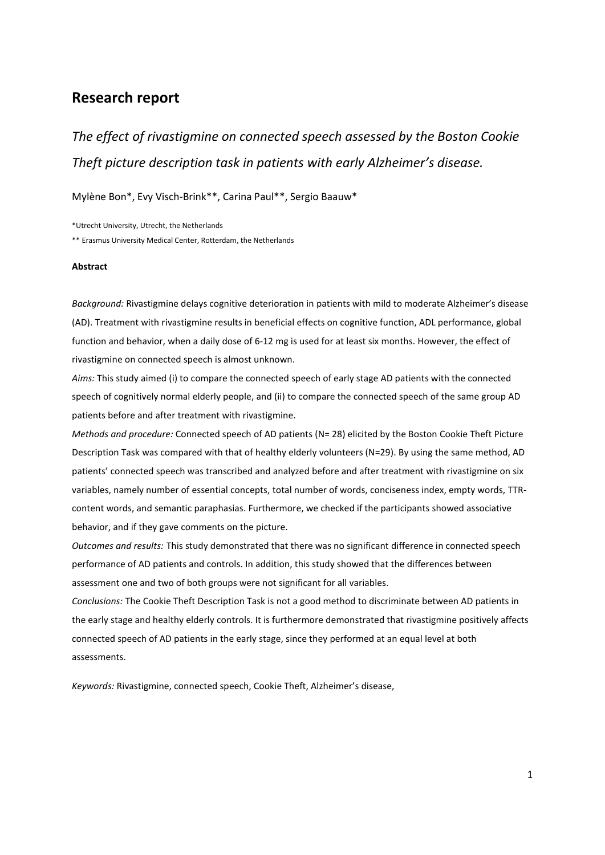# **Research report**

*The effect of rivastigmine on connected speech assessed by the Boston Cookie Theft picture description task in patients with early Alzheimer's disease.* 

Mylène Bon\*, Evy Visch-Brink\*\*, Carina Paul\*\*, Sergio Baauw\*

\*Utrecht University, Utrecht, the Netherlands

\*\* Erasmus University Medical Center, Rotterdam, the Netherlands

#### **Abstract**

*Background:* Rivastigmine delays cognitive deterioration in patients with mild to moderate Alzheimer's disease (AD). Treatment with rivastigmine results in beneficial effects on cognitive function, ADL performance, global function and behavior, when a daily dose of 6-12 mg is used for at least six months. However, the effect of rivastigmine on connected speech is almost unknown.

*Aims:* This study aimed (i) to compare the connected speech of early stage AD patients with the connected speech of cognitively normal elderly people, and (ii) to compare the connected speech of the same group AD patients before and after treatment with rivastigmine.

*Methods and procedure:* Connected speech of AD patients (N= 28) elicited by the Boston Cookie Theft Picture Description Task was compared with that of healthy elderly volunteers (N=29). By using the same method, AD patients' connected speech was transcribed and analyzed before and after treatment with rivastigmine on six variables, namely number of essential concepts, total number of words, conciseness index, empty words, TTRcontent words, and semantic paraphasias. Furthermore, we checked if the participants showed associative behavior, and if they gave comments on the picture.

*Outcomes and results:* This study demonstrated that there was no significant difference in connected speech performance of AD patients and controls. In addition, this study showed that the differences between assessment one and two of both groups were not significant for all variables.

*Conclusions:* The Cookie Theft Description Task is not a good method to discriminate between AD patients in the early stage and healthy elderly controls. It is furthermore demonstrated that rivastigmine positively affects connected speech of AD patients in the early stage, since they performed at an equal level at both assessments.

*Keywords:* Rivastigmine, connected speech, Cookie Theft, Alzheimer's disease,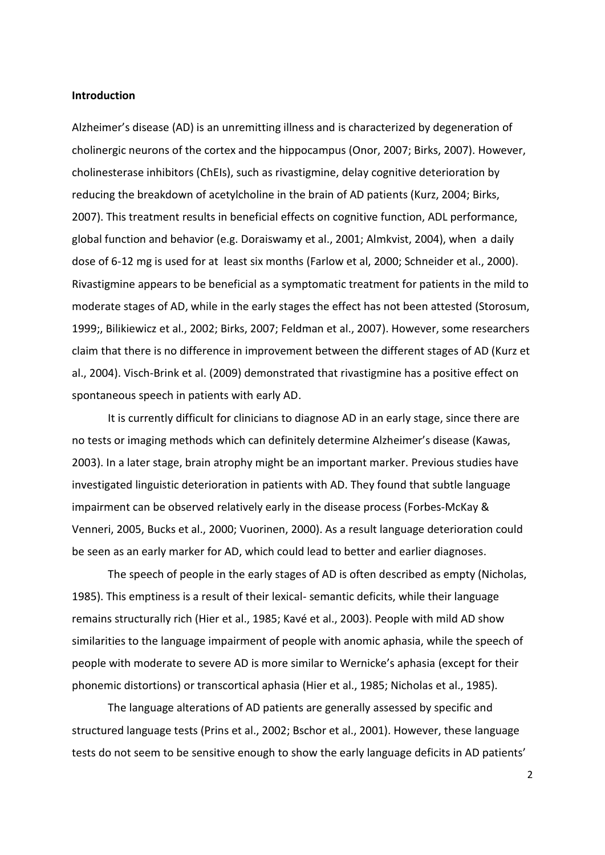#### **Introduction**

Alzheimer's disease (AD) is an unremitting illness and is characterized by degeneration of cholinergic neurons of the cortex and the hippocampus (Onor, 2007; Birks, 2007). However, cholinesterase inhibitors (ChEIs), such as rivastigmine, delay cognitive deterioration by reducing the breakdown of acetylcholine in the brain of AD patients (Kurz, 2004; Birks, 2007). This treatment results in beneficial effects on cognitive function, ADL performance, global function and behavior (e.g. Doraiswamy et al., 2001; Almkvist, 2004), when a daily dose of 6-12 mg is used for at least six months (Farlow et al, 2000; Schneider et al., 2000). Rivastigmine appears to be beneficial as a symptomatic treatment for patients in the mild to moderate stages of AD, while in the early stages the effect has not been attested (Storosum, 1999;, Bilikiewicz et al., 2002; Birks, 2007; Feldman et al., 2007). However, some researchers claim that there is no difference in improvement between the different stages of AD (Kurz et al., 2004). Visch-Brink et al. (2009) demonstrated that rivastigmine has a positive effect on spontaneous speech in patients with early AD.

It is currently difficult for clinicians to diagnose AD in an early stage, since there are no tests or imaging methods which can definitely determine Alzheimer's disease (Kawas, 2003). In a later stage, brain atrophy might be an important marker. Previous studies have investigated linguistic deterioration in patients with AD. They found that subtle language impairment can be observed relatively early in the disease process (Forbes-McKay & Venneri, 2005, Bucks et al., 2000; Vuorinen, 2000). As a result language deterioration could be seen as an early marker for AD, which could lead to better and earlier diagnoses.

The speech of people in the early stages of AD is often described as empty (Nicholas, 1985). This emptiness is a result of their lexical- semantic deficits, while their language remains structurally rich (Hier et al., 1985; Kavé et al., 2003). People with mild AD show similarities to the language impairment of people with anomic aphasia, while the speech of people with moderate to severe AD is more similar to Wernicke's aphasia (except for their phonemic distortions) or transcortical aphasia (Hier et al., 1985; Nicholas et al., 1985).

The language alterations of AD patients are generally assessed by specific and structured language tests (Prins et al., 2002; Bschor et al., 2001). However, these language tests do not seem to be sensitive enough to show the early language deficits in AD patients'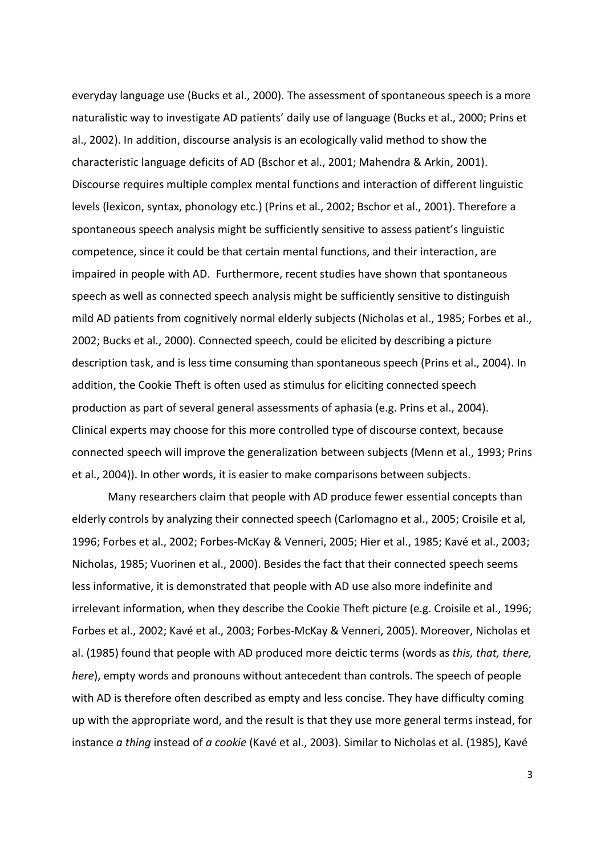everyday language use (Bucks et al., 2000). The assessment of spontaneous speech is a more naturalistic way to investigate AD patients' daily use of language (Bucks et al., 2000; Prins et al., 2002). In addition, discourse analysis is an ecologically valid method to show the characteristic language deficits of AD (Bschor et al., 2001; Mahendra & Arkin, 2001). Discourse requires multiple complex mental functions and interaction of different linguistic levels (lexicon, syntax, phonology etc.) (Prins et al., 2002; Bschor et al., 2001). Therefore a spontaneous speech analysis might be sufficiently sensitive to assess patient's linguistic competence, since it could be that certain mental functions, and their interaction, are impaired in people with AD. Furthermore, recent studies have shown that spontaneous speech as well as connected speech analysis might be sufficiently sensitive to distinguish mild AD patients from cognitively normal elderly subjects (Nicholas et al., 1985; Forbes et al., 2002; Bucks et al., 2000). Connected speech, could be elicited by describing a picture description task, and is less time consuming than spontaneous speech (Prins et al., 2004). In addition, the Cookie Theft is often used as stimulus for eliciting connected speech production as part of several general assessments of aphasia (e.g. Prins et al., 2004). Clinical experts may choose for this more controlled type of discourse context, because connected speech will improve the generalization between subjects (Menn et al., 1993; Prins et al., 2004)). In other words, it is easier to make comparisons between subjects.

Many researchers claim that people with AD produce fewer essential concepts than elderly controls by analyzing their connected speech (Carlomagno et al., 2005; Croisile et al, 1996; Forbes et al., 2002; Forbes-McKay & Venneri, 2005; Hier et al., 1985; Kavé et al., 2003; Nicholas, 1985; Vuorinen et al., 2000). Besides the fact that their connected speech seems less informative, it is demonstrated that people with AD use also more indefinite and irrelevant information, when they describe the Cookie Theft picture (e.g. Croisile et al., 1996; Forbes et al., 2002; Kavé et al., 2003; Forbes-McKay & Venneri, 2005). Moreover, Nicholas et al. (1985) found that people with AD produced more deictic terms (words as *this, that, there, here*), empty words and pronouns without antecedent than controls. The speech of people with AD is therefore often described as empty and less concise. They have difficulty coming up with the appropriate word, and the result is that they use more general terms instead, for instance *a thing* instead of *a cookie* (Kavé et al., 2003). Similar to Nicholas et al. (1985), Kavé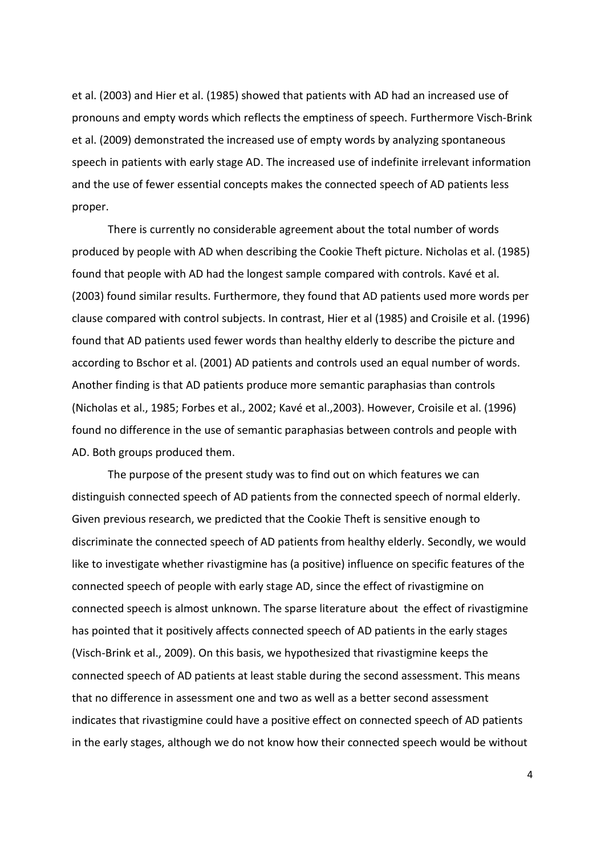et al. (2003) and Hier et al. (1985) showed that patients with AD had an increased use of pronouns and empty words which reflects the emptiness of speech. Furthermore Visch-Brink et al. (2009) demonstrated the increased use of empty words by analyzing spontaneous speech in patients with early stage AD. The increased use of indefinite irrelevant information and the use of fewer essential concepts makes the connected speech of AD patients less proper.

There is currently no considerable agreement about the total number of words produced by people with AD when describing the Cookie Theft picture. Nicholas et al. (1985) found that people with AD had the longest sample compared with controls. Kavé et al. (2003) found similar results. Furthermore, they found that AD patients used more words per clause compared with control subjects. In contrast, Hier et al (1985) and Croisile et al. (1996) found that AD patients used fewer words than healthy elderly to describe the picture and according to Bschor et al. (2001) AD patients and controls used an equal number of words. Another finding is that AD patients produce more semantic paraphasias than controls (Nicholas et al., 1985; Forbes et al., 2002; Kavé et al.,2003). However, Croisile et al. (1996) found no difference in the use of semantic paraphasias between controls and people with AD. Both groups produced them.

The purpose of the present study was to find out on which features we can distinguish connected speech of AD patients from the connected speech of normal elderly. Given previous research, we predicted that the Cookie Theft is sensitive enough to discriminate the connected speech of AD patients from healthy elderly. Secondly, we would like to investigate whether rivastigmine has (a positive) influence on specific features of the connected speech of people with early stage AD, since the effect of rivastigmine on connected speech is almost unknown. The sparse literature about the effect of rivastigmine has pointed that it positively affects connected speech of AD patients in the early stages (Visch-Brink et al., 2009). On this basis, we hypothesized that rivastigmine keeps the connected speech of AD patients at least stable during the second assessment. This means that no difference in assessment one and two as well as a better second assessment indicates that rivastigmine could have a positive effect on connected speech of AD patients in the early stages, although we do not know how their connected speech would be without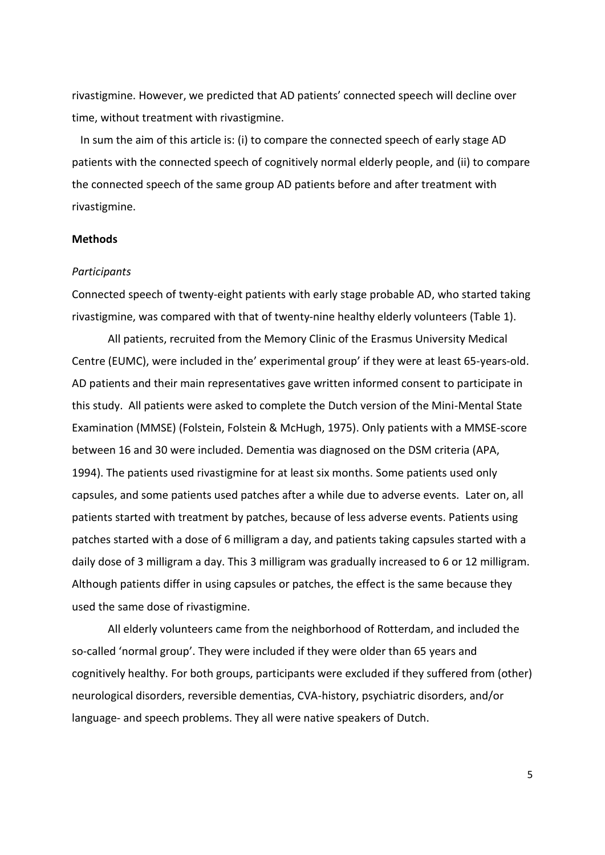rivastigmine. However, we predicted that AD patients' connected speech will decline over time, without treatment with rivastigmine.

In sum the aim of this article is: (i) to compare the connected speech of early stage AD patients with the connected speech of cognitively normal elderly people, and (ii) to compare the connected speech of the same group AD patients before and after treatment with rivastigmine.

## **Methods**

### *Participants*

Connected speech of twenty-eight patients with early stage probable AD, who started taking rivastigmine, was compared with that of twenty-nine healthy elderly volunteers (Table 1).

All patients, recruited from the Memory Clinic of the Erasmus University Medical Centre (EUMC), were included in the' experimental group' if they were at least 65-years-old. AD patients and their main representatives gave written informed consent to participate in this study. All patients were asked to complete the Dutch version of the Mini-Mental State Examination (MMSE) (Folstein, Folstein & McHugh, 1975). Only patients with a MMSE-score between 16 and 30 were included. Dementia was diagnosed on the DSM criteria (APA, 1994). The patients used rivastigmine for at least six months. Some patients used only capsules, and some patients used patches after a while due to adverse events. Later on, all patients started with treatment by patches, because of less adverse events. Patients using patches started with a dose of 6 milligram a day, and patients taking capsules started with a daily dose of 3 milligram a day. This 3 milligram was gradually increased to 6 or 12 milligram. Although patients differ in using capsules or patches, the effect is the same because they used the same dose of rivastigmine.

All elderly volunteers came from the neighborhood of Rotterdam, and included the so-called 'normal group'. They were included if they were older than 65 years and cognitively healthy. For both groups, participants were excluded if they suffered from (other) neurological disorders, reversible dementias, CVA-history, psychiatric disorders, and/or language- and speech problems. They all were native speakers of Dutch.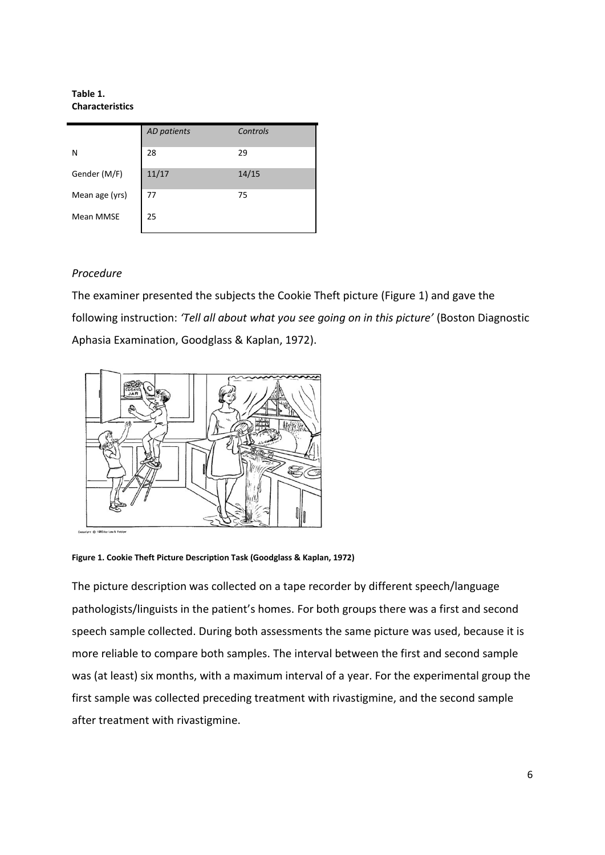#### **Table 1. Characteristics**

|                | AD patients | Controls |
|----------------|-------------|----------|
| N              | 28          | 29       |
| Gender (M/F)   | 11/17       | 14/15    |
| Mean age (yrs) | 77          | 75       |
| Mean MMSE      | 25          |          |

# *Procedure*

The examiner presented the subjects the Cookie Theft picture (Figure 1) and gave the following instruction: *'Tell all about what you see going on in this picture'* (Boston Diagnostic Aphasia Examination, Goodglass & Kaplan, 1972).



**Figure 1. Cookie Theft Picture Description Task (Goodglass & Kaplan, 1972)**

The picture description was collected on a tape recorder by different speech/language pathologists/linguists in the patient's homes. For both groups there was a first and second speech sample collected. During both assessments the same picture was used, because it is more reliable to compare both samples. The interval between the first and second sample was (at least) six months, with a maximum interval of a year. For the experimental group the first sample was collected preceding treatment with rivastigmine, and the second sample after treatment with rivastigmine.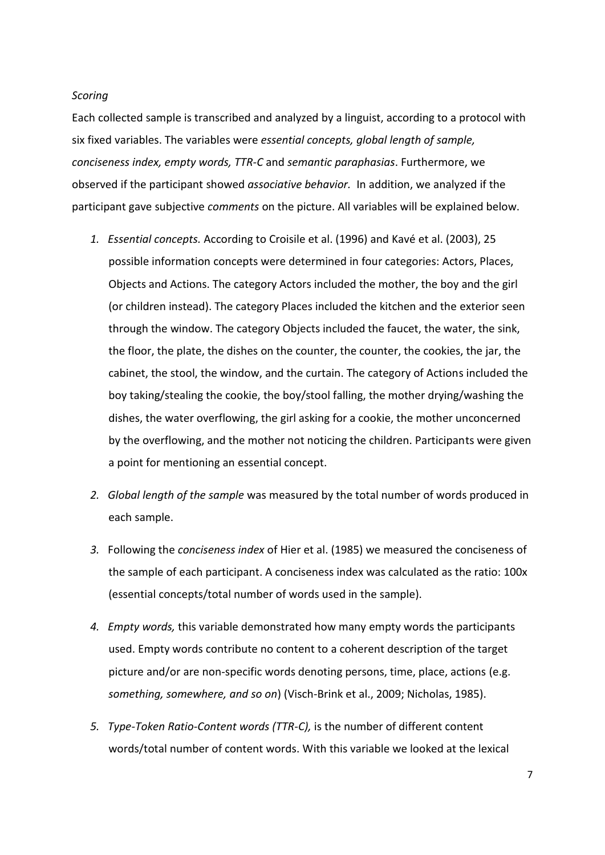# *Scoring*

Each collected sample is transcribed and analyzed by a linguist, according to a protocol with six fixed variables. The variables were *essential concepts, global length of sample, conciseness index, empty words, TTR-C* and *semantic paraphasias*. Furthermore, we observed if the participant showed *associative behavior.* In addition, we analyzed if the participant gave subjective *comments* on the picture. All variables will be explained below.

- *1. Essential concepts.* According to Croisile et al. (1996) and Kavé et al. (2003), 25 possible information concepts were determined in four categories: Actors, Places, Objects and Actions. The category Actors included the mother, the boy and the girl (or children instead). The category Places included the kitchen and the exterior seen through the window. The category Objects included the faucet, the water, the sink, the floor, the plate, the dishes on the counter, the counter, the cookies, the jar, the cabinet, the stool, the window, and the curtain. The category of Actions included the boy taking/stealing the cookie, the boy/stool falling, the mother drying/washing the dishes, the water overflowing, the girl asking for a cookie, the mother unconcerned by the overflowing, and the mother not noticing the children. Participants were given a point for mentioning an essential concept.
- *2. Global length of the sample* was measured by the total number of words produced in each sample.
- *3.* Following the *conciseness index* of Hier et al. (1985) we measured the conciseness of the sample of each participant. A conciseness index was calculated as the ratio: 100x (essential concepts/total number of words used in the sample).
- *4. Empty words,* this variable demonstrated how many empty words the participants used. Empty words contribute no content to a coherent description of the target picture and/or are non-specific words denoting persons, time, place, actions (e.g. *something, somewhere, and so on*) (Visch-Brink et al., 2009; Nicholas, 1985).
- *5. Type-Token Ratio-Content words (TTR-C),* is the number of different content words/total number of content words. With this variable we looked at the lexical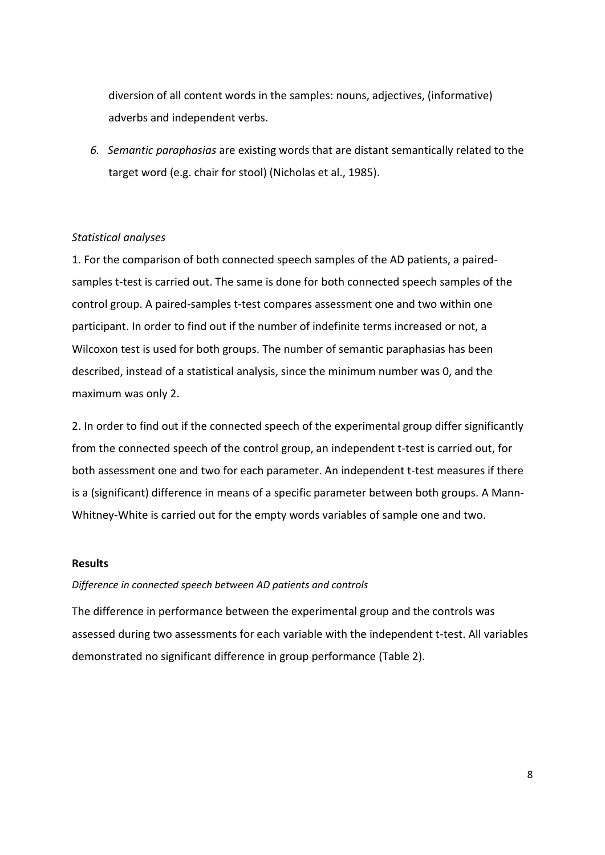diversion of all content words in the samples: nouns, adjectives, (informative) adverbs and independent verbs.

*6. Semantic paraphasias* are existing words that are distant semantically related to the target word (e.g. chair for stool) (Nicholas et al., 1985).

# *Statistical analyses*

1. For the comparison of both connected speech samples of the AD patients, a pairedsamples t-test is carried out. The same is done for both connected speech samples of the control group. A paired-samples t-test compares assessment one and two within one participant. In order to find out if the number of indefinite terms increased or not, a Wilcoxon test is used for both groups. The number of semantic paraphasias has been described, instead of a statistical analysis, since the minimum number was 0, and the maximum was only 2.

2. In order to find out if the connected speech of the experimental group differ significantly from the connected speech of the control group, an independent t-test is carried out, for both assessment one and two for each parameter. An independent t-test measures if there is a (significant) difference in means of a specific parameter between both groups. A Mann-Whitney-White is carried out for the empty words variables of sample one and two.

## **Results**

#### *Difference in connected speech between AD patients and controls*

The difference in performance between the experimental group and the controls was assessed during two assessments for each variable with the independent t-test. All variables demonstrated no significant difference in group performance (Table 2).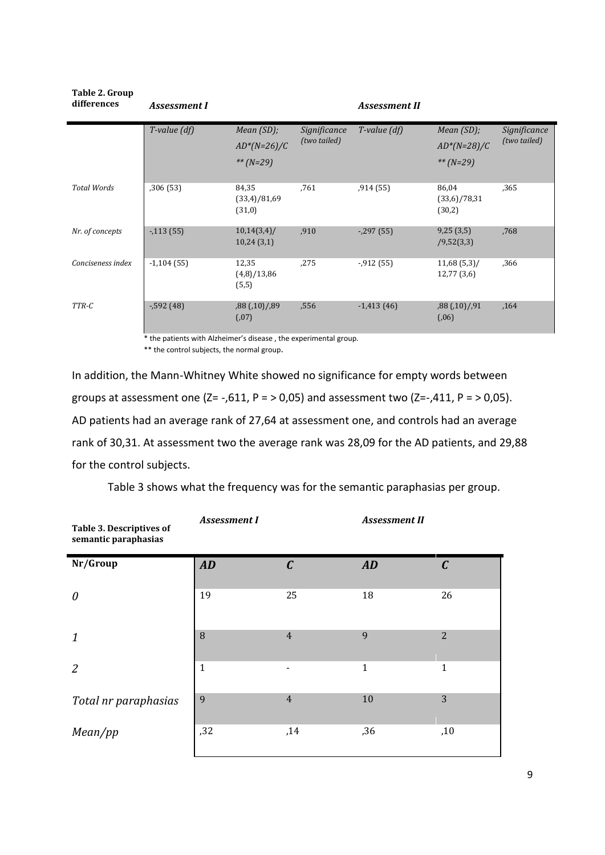| Table 2. Group<br>differences | <b>Assessment I</b>             |                                 |              | <b>Assessment II</b> |                                 |              |
|-------------------------------|---------------------------------|---------------------------------|--------------|----------------------|---------------------------------|--------------|
|                               | $T$ -value $(df)$<br>Mean (SD); |                                 | Significance | $T$ -value $(df)$    | Mean (SD);                      | Significance |
|                               |                                 | $AD^*(N=26)/C$                  | (two tailed) |                      | $AD^*(N=28)/C$                  | (two tailed) |
|                               |                                 | ** $(N=29)$                     |              |                      | ** $(N=29)$                     |              |
| <b>Total Words</b>            | ,306(53)                        | 84,35<br>(33,4)/81,69<br>(31,0) | ,761         | ,914(55)             | 86,04<br>(33,6)/78,31<br>(30,2) | ,365         |
| Nr. of concepts               | $-113(55)$                      | $10,14(3,4)$ /<br>10,24(3,1)    | ,910         | $-297(55)$           | 9,25(3,5)<br>/9,52(3,3)         | .768         |
| Conciseness index             | $-1,104(55)$                    | 12,35<br>(4,8)/13,86<br>(5,5)   | ,275         | $-0.912(55)$         | $11,68(5,3)$ /<br>12,77(3,6)    | ,366         |
| TTR-C                         | $-592(48)$                      | ,88(,10)/,89<br>(.07)           | ,556         | $-1,413(46)$         | ,88(,10)/,91<br>(0.06)          | .164         |

\* the patients with Alzheimer's disease , the experimental group.

\*\* the control subjects, the normal group.

In addition, the Mann-Whitney White showed no significance for empty words between groups at assessment one  $(Z = -0.611, P = 0.05)$  and assessment two  $(Z = -0.411, P = 0.05)$ . AD patients had an average rank of 27,64 at assessment one, and controls had an average rank of 30,31. At assessment two the average rank was 28,09 for the AD patients, and 29,88 for the control subjects.

| <b>Table 3. Descriptives of</b><br>semantic paraphasias | <b>Assessment I</b> |                | <b>Assessment II</b> |                |
|---------------------------------------------------------|---------------------|----------------|----------------------|----------------|
| Nr/Group                                                | AD                  | $\mathcal C$   | AD                   | $\mathcal C$   |
| 0                                                       | 19                  | 25             | 18                   | 26             |
| 1                                                       | 8                   | $\overline{4}$ | 9                    | $\overline{2}$ |
| $\overline{2}$                                          | $\mathbf{1}$        |                | $\mathbf{1}$         | $\mathbf{1}$   |
| Total nr paraphasias                                    | 9                   | $\overline{4}$ | 10                   | 3              |
| Mean/pp                                                 | , 32                | ,14            | ,36                  | ,10            |

Table 3 shows what the frequency was for the semantic paraphasias per group.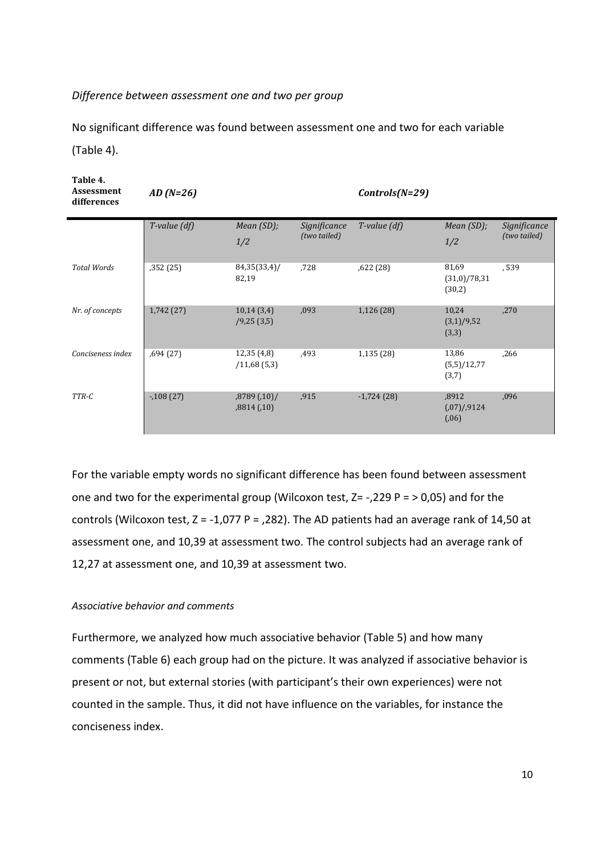# *Difference between assessment one and two per group*

No significant difference was found between assessment one and two for each variable (Table 4).

| Table 4.<br>Assessment<br>differences | $AD(N=26)$        |                           |                              | $\text{Controls}(N=29)$ |                                  |                              |
|---------------------------------------|-------------------|---------------------------|------------------------------|-------------------------|----------------------------------|------------------------------|
|                                       | $T$ -value $(df)$ | Mean $(SD)$ ;<br>1/2      | Significance<br>(two tailed) | $T$ -value $(df)$       | Mean $(SD)$ ;<br>1/2             | Significance<br>(two tailed) |
| <b>Total Words</b>                    | ,352 (25)         | 84,35(33,4)/<br>82,19     | ,728                         | ,622(28)                | 81,69<br>(31,0)/78,31<br>(30,2)  | ,539                         |
| Nr. of concepts                       | 1,742 (27)        | 10,14(3,4)<br>/9,25(3,5)  | ,093                         | 1,126(28)               | 10,24<br>(3,1)/9,52<br>(3,3)     | ,270                         |
| Conciseness index                     | ,694(27)          | 12,35(4,8)<br>/11,68(5,3) | ,493                         | 1,135 (28)              | 13,86<br>(5,5)/12,77<br>(3,7)    | ,266                         |
| TTR-C                                 | $-108(27)$        | ,8789(,10)/<br>,8814(,10) | ,915                         | $-1,724(28)$            | ,8912<br>(0.07)/0.9124<br>(0.06) | ,096                         |

For the variable empty words no significant difference has been found between assessment one and two for the experimental group (Wilcoxon test,  $Z = -1.229$  P =  $> 0.05$ ) and for the controls (Wilcoxon test,  $Z = -1.077$  P = .282). The AD patients had an average rank of 14.50 at assessment one, and 10,39 at assessment two. The control subjects had an average rank of 12,27 at assessment one, and 10,39 at assessment two.

# *Associative behavior and comments*

Furthermore, we analyzed how much associative behavior (Table 5) and how many comments (Table 6) each group had on the picture. It was analyzed if associative behavior is present or not, but external stories (with participant's their own experiences) were not counted in the sample. Thus, it did not have influence on the variables, for instance the conciseness index.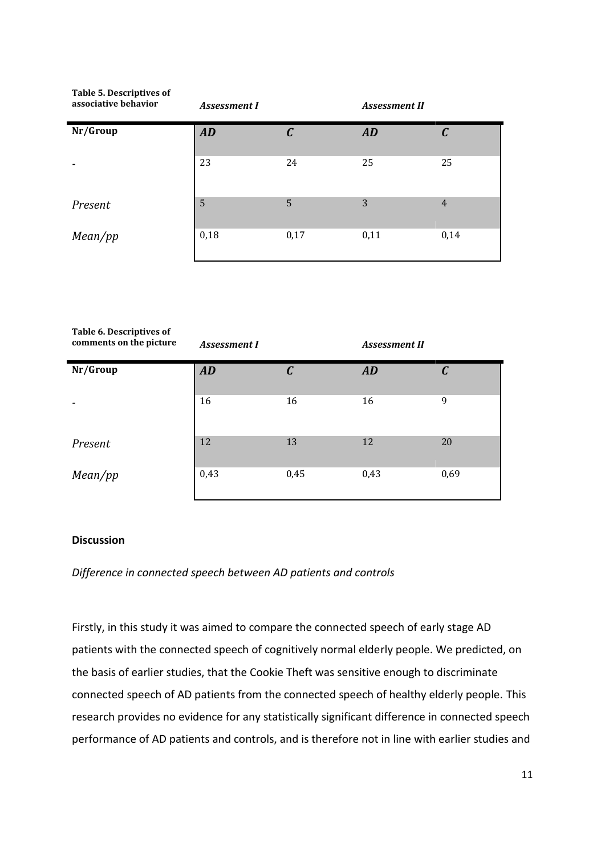| Table 5. Descriptives of<br>associative behavior | <b>Assessment I</b> |              | <b>Assessment II</b> |                |
|--------------------------------------------------|---------------------|--------------|----------------------|----------------|
| Nr/Group                                         | AD                  | $\mathcal C$ | <b>AD</b>            | C              |
|                                                  | 23                  | 24           | 25                   | 25             |
| Present                                          | 5                   | 5            | 3                    | $\overline{4}$ |
| Mean(pp                                          | 0,18                | 0,17         | 0,11                 | 0,14           |

| Table 6. Descriptives of<br>comments on the picture | <b>Assessment I</b> |                | <b>Assessment II</b> |              |
|-----------------------------------------------------|---------------------|----------------|----------------------|--------------|
| Nr/Group                                            | AD                  | $\overline{C}$ | AD                   | $\mathcal C$ |
|                                                     | 16                  | 16             | 16                   | 9            |
| Present                                             | 12                  | 13             | 12                   | 20           |
| Mean(pp                                             | 0,43                | 0,45           | 0,43                 | 0,69         |

# **Discussion**

# *Difference in connected speech between AD patients and controls*

Firstly, in this study it was aimed to compare the connected speech of early stage AD patients with the connected speech of cognitively normal elderly people. We predicted, on the basis of earlier studies, that the Cookie Theft was sensitive enough to discriminate connected speech of AD patients from the connected speech of healthy elderly people. This research provides no evidence for any statistically significant difference in connected speech performance of AD patients and controls, and is therefore not in line with earlier studies and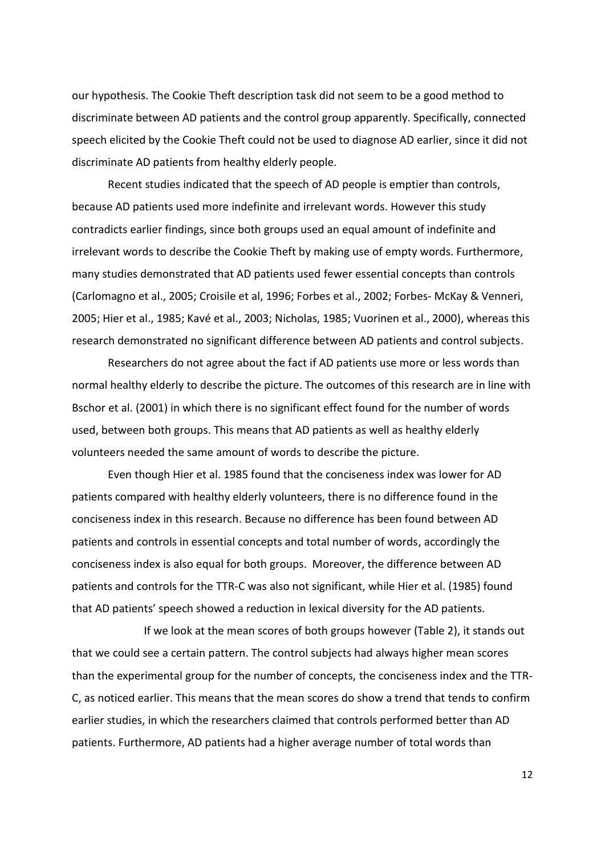our hypothesis. The Cookie Theft description task did not seem to be a good method to discriminate between AD patients and the control group apparently. Specifically, connected speech elicited by the Cookie Theft could not be used to diagnose AD earlier, since it did not discriminate AD patients from healthy elderly people.

Recent studies indicated that the speech of AD people is emptier than controls, because AD patients used more indefinite and irrelevant words. However this study contradicts earlier findings, since both groups used an equal amount of indefinite and irrelevant words to describe the Cookie Theft by making use of empty words. Furthermore, many studies demonstrated that AD patients used fewer essential concepts than controls (Carlomagno et al., 2005; Croisile et al, 1996; Forbes et al., 2002; Forbes- McKay & Venneri, 2005; Hier et al., 1985; Kavé et al., 2003; Nicholas, 1985; Vuorinen et al., 2000), whereas this research demonstrated no significant difference between AD patients and control subjects.

Researchers do not agree about the fact if AD patients use more or less words than normal healthy elderly to describe the picture. The outcomes of this research are in line with Bschor et al. (2001) in which there is no significant effect found for the number of words used, between both groups. This means that AD patients as well as healthy elderly volunteers needed the same amount of words to describe the picture.

Even though Hier et al. 1985 found that the conciseness index was lower for AD patients compared with healthy elderly volunteers, there is no difference found in the conciseness index in this research. Because no difference has been found between AD patients and controls in essential concepts and total number of words, accordingly the conciseness index is also equal for both groups. Moreover, the difference between AD patients and controls for the TTR-C was also not significant, while Hier et al. (1985) found that AD patients' speech showed a reduction in lexical diversity for the AD patients.

If we look at the mean scores of both groups however (Table 2), it stands out that we could see a certain pattern. The control subjects had always higher mean scores than the experimental group for the number of concepts, the conciseness index and the TTR-C, as noticed earlier. This means that the mean scores do show a trend that tends to confirm earlier studies, in which the researchers claimed that controls performed better than AD patients. Furthermore, AD patients had a higher average number of total words than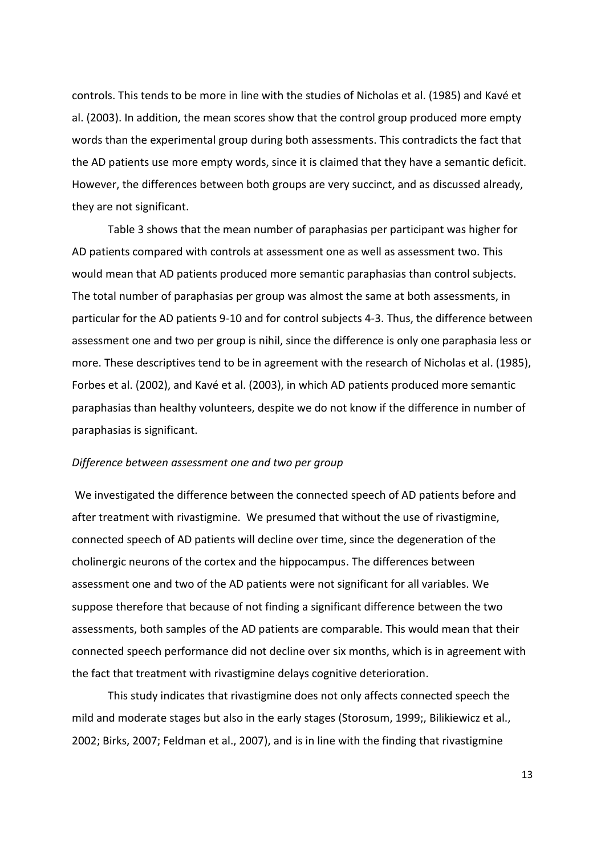controls. This tends to be more in line with the studies of Nicholas et al. (1985) and Kavé et al. (2003). In addition, the mean scores show that the control group produced more empty words than the experimental group during both assessments. This contradicts the fact that the AD patients use more empty words, since it is claimed that they have a semantic deficit. However, the differences between both groups are very succinct, and as discussed already, they are not significant.

Table 3 shows that the mean number of paraphasias per participant was higher for AD patients compared with controls at assessment one as well as assessment two. This would mean that AD patients produced more semantic paraphasias than control subjects. The total number of paraphasias per group was almost the same at both assessments, in particular for the AD patients 9-10 and for control subjects 4-3. Thus, the difference between assessment one and two per group is nihil, since the difference is only one paraphasia less or more. These descriptives tend to be in agreement with the research of Nicholas et al. (1985), Forbes et al. (2002), and Kavé et al. (2003), in which AD patients produced more semantic paraphasias than healthy volunteers, despite we do not know if the difference in number of paraphasias is significant.

#### *Difference between assessment one and two per group*

We investigated the difference between the connected speech of AD patients before and after treatment with rivastigmine. We presumed that without the use of rivastigmine, connected speech of AD patients will decline over time, since the degeneration of the cholinergic neurons of the cortex and the hippocampus. The differences between assessment one and two of the AD patients were not significant for all variables. We suppose therefore that because of not finding a significant difference between the two assessments, both samples of the AD patients are comparable. This would mean that their connected speech performance did not decline over six months, which is in agreement with the fact that treatment with rivastigmine delays cognitive deterioration.

This study indicates that rivastigmine does not only affects connected speech the mild and moderate stages but also in the early stages (Storosum, 1999;, Bilikiewicz et al., 2002; Birks, 2007; Feldman et al., 2007), and is in line with the finding that rivastigmine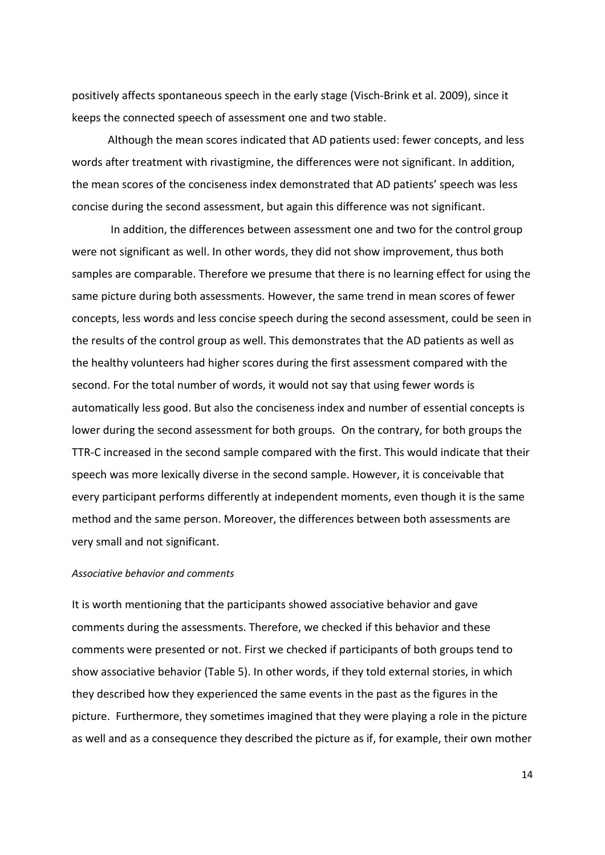positively affects spontaneous speech in the early stage (Visch-Brink et al. 2009), since it keeps the connected speech of assessment one and two stable.

Although the mean scores indicated that AD patients used: fewer concepts, and less words after treatment with rivastigmine, the differences were not significant. In addition, the mean scores of the conciseness index demonstrated that AD patients' speech was less concise during the second assessment, but again this difference was not significant.

In addition, the differences between assessment one and two for the control group were not significant as well. In other words, they did not show improvement, thus both samples are comparable. Therefore we presume that there is no learning effect for using the same picture during both assessments. However, the same trend in mean scores of fewer concepts, less words and less concise speech during the second assessment, could be seen in the results of the control group as well. This demonstrates that the AD patients as well as the healthy volunteers had higher scores during the first assessment compared with the second. For the total number of words, it would not say that using fewer words is automatically less good. But also the conciseness index and number of essential concepts is lower during the second assessment for both groups. On the contrary, for both groups the TTR-C increased in the second sample compared with the first. This would indicate that their speech was more lexically diverse in the second sample. However, it is conceivable that every participant performs differently at independent moments, even though it is the same method and the same person. Moreover, the differences between both assessments are very small and not significant.

# *Associative behavior and comments*

It is worth mentioning that the participants showed associative behavior and gave comments during the assessments. Therefore, we checked if this behavior and these comments were presented or not. First we checked if participants of both groups tend to show associative behavior (Table 5). In other words, if they told external stories, in which they described how they experienced the same events in the past as the figures in the picture. Furthermore, they sometimes imagined that they were playing a role in the picture as well and as a consequence they described the picture as if, for example, their own mother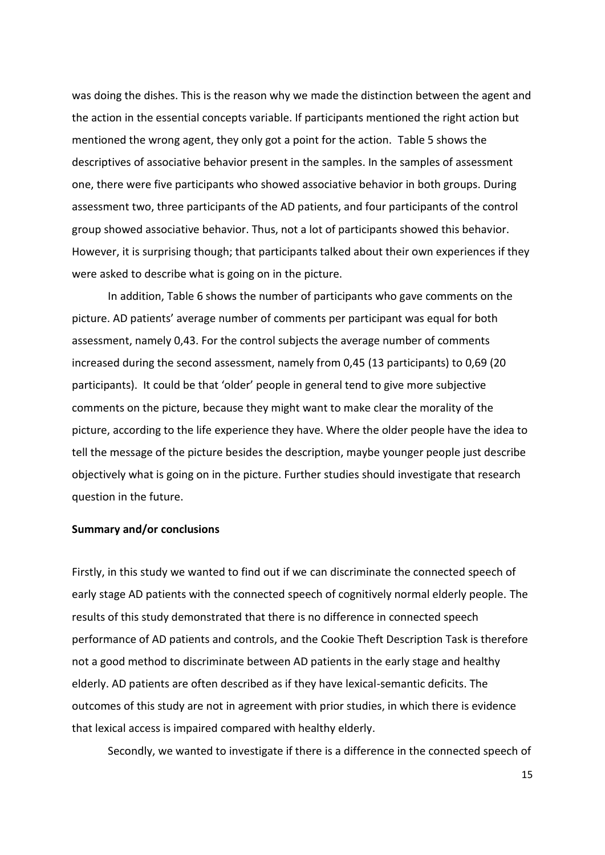was doing the dishes. This is the reason why we made the distinction between the agent and the action in the essential concepts variable. If participants mentioned the right action but mentioned the wrong agent, they only got a point for the action. Table 5 shows the descriptives of associative behavior present in the samples. In the samples of assessment one, there were five participants who showed associative behavior in both groups. During assessment two, three participants of the AD patients, and four participants of the control group showed associative behavior. Thus, not a lot of participants showed this behavior. However, it is surprising though; that participants talked about their own experiences if they were asked to describe what is going on in the picture.

In addition, Table 6 shows the number of participants who gave comments on the picture. AD patients' average number of comments per participant was equal for both assessment, namely 0,43. For the control subjects the average number of comments increased during the second assessment, namely from 0,45 (13 participants) to 0,69 (20 participants). It could be that 'older' people in general tend to give more subjective comments on the picture, because they might want to make clear the morality of the picture, according to the life experience they have. Where the older people have the idea to tell the message of the picture besides the description, maybe younger people just describe objectively what is going on in the picture. Further studies should investigate that research question in the future.

### **Summary and/or conclusions**

Firstly, in this study we wanted to find out if we can discriminate the connected speech of early stage AD patients with the connected speech of cognitively normal elderly people. The results of this study demonstrated that there is no difference in connected speech performance of AD patients and controls, and the Cookie Theft Description Task is therefore not a good method to discriminate between AD patients in the early stage and healthy elderly. AD patients are often described as if they have lexical-semantic deficits. The outcomes of this study are not in agreement with prior studies, in which there is evidence that lexical access is impaired compared with healthy elderly.

Secondly, we wanted to investigate if there is a difference in the connected speech of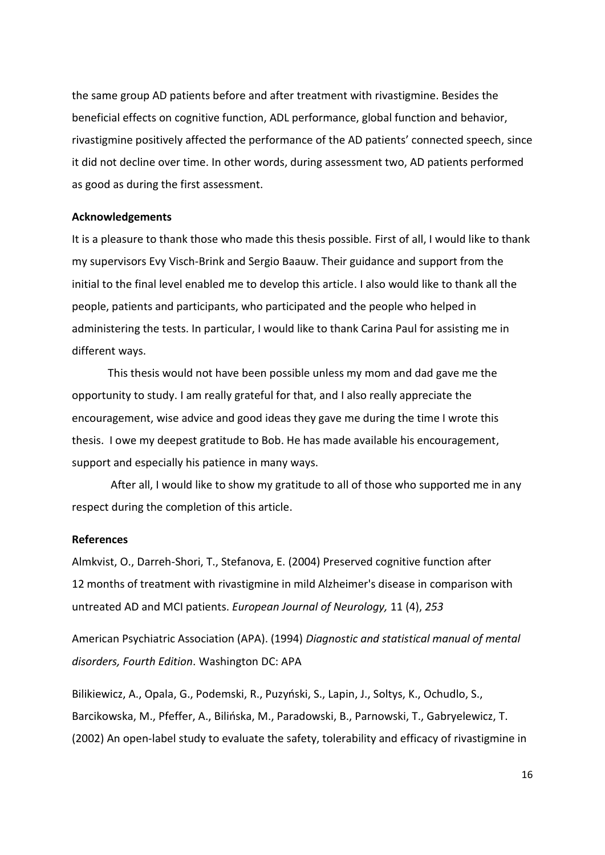the same group AD patients before and after treatment with rivastigmine. Besides the beneficial effects on cognitive function, ADL performance, global function and behavior, rivastigmine positively affected the performance of the AD patients' connected speech, since it did not decline over time. In other words, during assessment two, AD patients performed as good as during the first assessment.

### **Acknowledgements**

It is a pleasure to thank those who made this thesis possible. First of all, I would like to thank my supervisors Evy Visch-Brink and Sergio Baauw. Their guidance and support from the initial to the final level enabled me to develop this article. I also would like to thank all the people, patients and participants, who participated and the people who helped in administering the tests. In particular, I would like to thank Carina Paul for assisting me in different ways.

This thesis would not have been possible unless my mom and dad gave me the opportunity to study. I am really grateful for that, and I also really appreciate the encouragement, wise advice and good ideas they gave me during the time I wrote this thesis. I owe my deepest gratitude to Bob. He has made available his encouragement, support and especially his patience in many ways.

After all, I would like to show my gratitude to all of those who supported me in any respect during the completion of this article.

#### **References**

Almkvist, O., Darreh-Shori, T., Stefanova, E. (2004) Preserved cognitive function after 12 months of treatment with rivastigmine in mild Alzheimer's disease in comparison with untreated AD and MCI patients. *European Journal of Neurology,* 11 (4), *253*

American Psychiatric Association (APA). (1994) *Diagnostic and statistical manual of mental disorders, Fourth Edition*. Washington DC: APA

Bilikiewicz, A., Opala, G., Podemski, R., Puzyński, S., Lapin, J., Soltys, K., Ochudlo, S., Barcikowska, M., Pfeffer, A., Bilińska, M., Paradowski, B., Parnowski, T., Gabryelewicz, T. (2002) An open-label study to evaluate the safety, tolerability and efficacy of rivastigmine in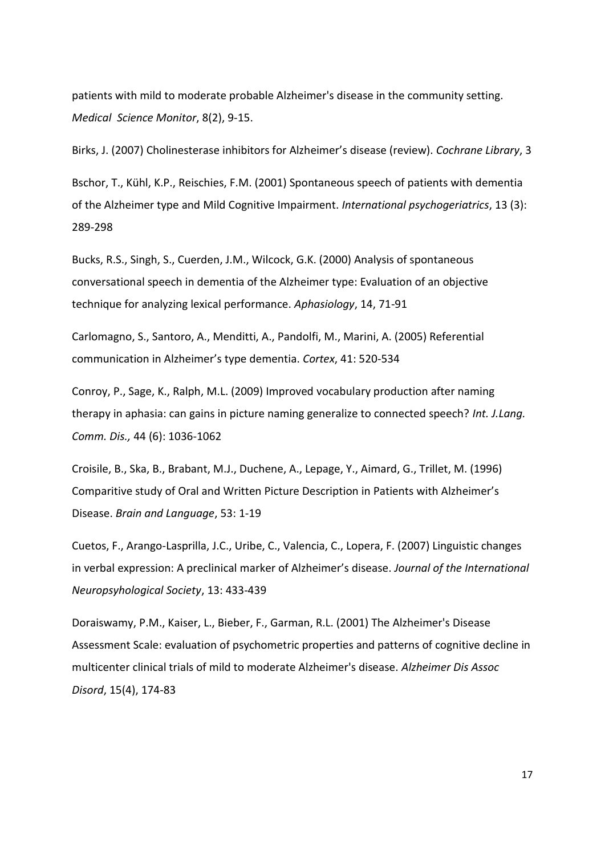patients with mild to moderate probable Alzheimer's disease in the community setting. *Medical Science Monitor*, 8(2), 9-15.

Birks, J. (2007) Cholinesterase inhibitors for Alzheimer's disease (review). *Cochrane Library*, 3

Bschor, T., Kühl, K.P., Reischies, F.M. (2001) Spontaneous speech of patients with dementia of the Alzheimer type and Mild Cognitive Impairment. *International psychogeriatrics*, 13 (3): 289-298

Bucks, R.S., Singh, S., Cuerden, J.M., Wilcock, G.K. (2000) Analysis of spontaneous conversational speech in dementia of the Alzheimer type: Evaluation of an objective technique for analyzing lexical performance. *Aphasiology*, 14, 71-91

Carlomagno, S., Santoro, A., Menditti, A., Pandolfi, M., Marini, A. (2005) Referential communication in Alzheimer's type dementia. *Cortex*, 41: 520-534

Conroy, P., Sage, K., Ralph, M.L. (2009) Improved vocabulary production after naming therapy in aphasia: can gains in picture naming generalize to connected speech? *Int. J.Lang. Comm. Dis.,* 44 (6): 1036-1062

Croisile, B., Ska, B., Brabant, M.J., Duchene, A., Lepage, Y., Aimard, G., Trillet, M. (1996) Comparitive study of Oral and Written Picture Description in Patients with Alzheimer's Disease. *Brain and Language*, 53: 1-19

Cuetos, F., Arango-Lasprilla, J.C., Uribe, C., Valencia, C., Lopera, F. (2007) Linguistic changes in verbal expression: A preclinical marker of Alzheimer's disease. *Journal of the International Neuropsyhological Society*, 13: 433-439

Doraiswamy, P.M., Kaiser, L., Bieber, F., Garman, R.L. (2001) The Alzheimer's Disease Assessment Scale: evaluation of psychometric properties and patterns of cognitive decline in multicenter clinical trials of mild to moderate Alzheimer's disease. *Alzheimer Dis Assoc Disord*, 15(4), 174-83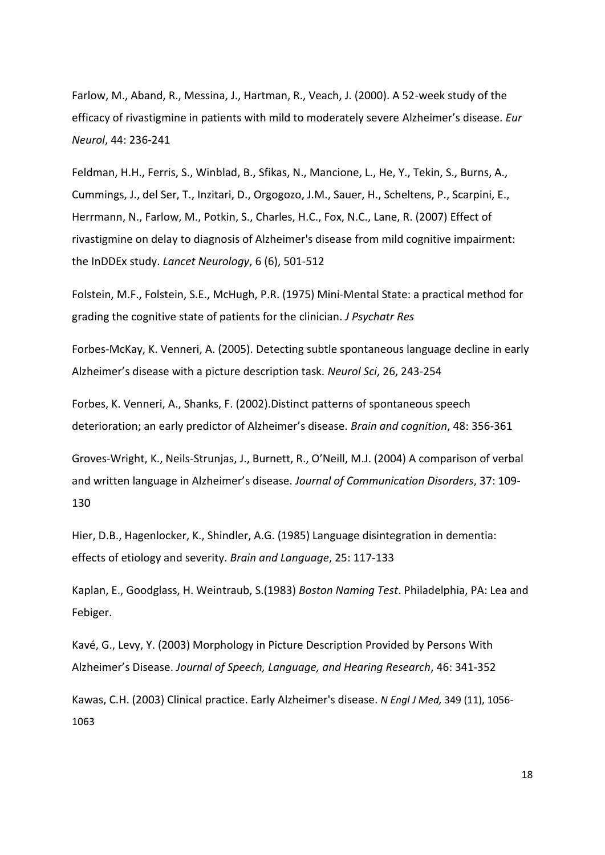Farlow, M., Aband, R., Messina, J., Hartman, R., Veach, J. (2000). A 52-week study of the efficacy of rivastigmine in patients with mild to moderately severe Alzheimer's disease. *Eur Neurol*, 44: 236-241

Feldman, H.H., [Ferris, S.,](http://omega.library.uu.nl.proxy.library.uu.nl/seal/omegasearch.php?applid=omegaresult&lan=nl&cfg=omega&searchfield1_name=CREATOR_PERSON_FULL&searchfield1_value=Ferris,%20S.&stem1_value=word&backapplid=omegaadvsearch&save=query_advanced) [Winblad, B.,](http://omega.library.uu.nl.proxy.library.uu.nl/seal/omegasearch.php?applid=omegaresult&lan=nl&cfg=omega&searchfield1_name=CREATOR_PERSON_FULL&searchfield1_value=Winblad,%20B.&stem1_value=word&backapplid=omegaadvsearch&save=query_advanced) [Sfikas, N.,](http://omega.library.uu.nl.proxy.library.uu.nl/seal/omegasearch.php?applid=omegaresult&lan=nl&cfg=omega&searchfield1_name=CREATOR_PERSON_FULL&searchfield1_value=Sfikas,%20N.&stem1_value=word&backapplid=omegaadvsearch&save=query_advanced) [Mancione, L.,](http://omega.library.uu.nl.proxy.library.uu.nl/seal/omegasearch.php?applid=omegaresult&lan=nl&cfg=omega&searchfield1_name=CREATOR_PERSON_FULL&searchfield1_value=Mancione,%20L.&stem1_value=word&backapplid=omegaadvsearch&save=query_advanced) [He, Y.,](http://omega.library.uu.nl.proxy.library.uu.nl/seal/omegasearch.php?applid=omegaresult&lan=nl&cfg=omega&searchfield1_name=CREATOR_PERSON_FULL&searchfield1_value=He,%20Y.&stem1_value=word&backapplid=omegaadvsearch&save=query_advanced) [Tekin, S.,](http://omega.library.uu.nl.proxy.library.uu.nl/seal/omegasearch.php?applid=omegaresult&lan=nl&cfg=omega&searchfield1_name=CREATOR_PERSON_FULL&searchfield1_value=Tekin,%20S.&stem1_value=word&backapplid=omegaadvsearch&save=query_advanced) [Burns, A.,](http://omega.library.uu.nl.proxy.library.uu.nl/seal/omegasearch.php?applid=omegaresult&lan=nl&cfg=omega&searchfield1_name=CREATOR_PERSON_FULL&searchfield1_value=Burns,%20A.&stem1_value=word&backapplid=omegaadvsearch&save=query_advanced) [Cummings, J.,](http://omega.library.uu.nl.proxy.library.uu.nl/seal/omegasearch.php?applid=omegaresult&lan=nl&cfg=omega&searchfield1_name=CREATOR_PERSON_FULL&searchfield1_value=Cummings,%20J.&stem1_value=word&backapplid=omegaadvsearch&save=query_advanced) [del Ser, T.,](http://omega.library.uu.nl.proxy.library.uu.nl/seal/omegasearch.php?applid=omegaresult&lan=nl&cfg=omega&searchfield1_name=CREATOR_PERSON_FULL&searchfield1_value=del%20Ser,%20T.&stem1_value=word&backapplid=omegaadvsearch&save=query_advanced) [Inzitari, D.,](http://omega.library.uu.nl.proxy.library.uu.nl/seal/omegasearch.php?applid=omegaresult&lan=nl&cfg=omega&searchfield1_name=CREATOR_PERSON_FULL&searchfield1_value=Inzitari,%20D.&stem1_value=word&backapplid=omegaadvsearch&save=query_advanced) [Orgogozo, J.M.,](http://omega.library.uu.nl.proxy.library.uu.nl/seal/omegasearch.php?applid=omegaresult&lan=nl&cfg=omega&searchfield1_name=CREATOR_PERSON_FULL&searchfield1_value=Orgogozo,%20J.M.&stem1_value=word&backapplid=omegaadvsearch&save=query_advanced) [Sauer, H.,](http://omega.library.uu.nl.proxy.library.uu.nl/seal/omegasearch.php?applid=omegaresult&lan=nl&cfg=omega&searchfield1_name=CREATOR_PERSON_FULL&searchfield1_value=Sauer,%20H.&stem1_value=word&backapplid=omegaadvsearch&save=query_advanced) [Scheltens, P.,](http://omega.library.uu.nl.proxy.library.uu.nl/seal/omegasearch.php?applid=omegaresult&lan=nl&cfg=omega&searchfield1_name=CREATOR_PERSON_FULL&searchfield1_value=Scheltens,%20P.&stem1_value=word&backapplid=omegaadvsearch&save=query_advanced) [Scarpini, E.,](http://omega.library.uu.nl.proxy.library.uu.nl/seal/omegasearch.php?applid=omegaresult&lan=nl&cfg=omega&searchfield1_name=CREATOR_PERSON_FULL&searchfield1_value=Scarpini,%20E.&stem1_value=word&backapplid=omegaadvsearch&save=query_advanced) [Herrmann, N.,](http://omega.library.uu.nl.proxy.library.uu.nl/seal/omegasearch.php?applid=omegaresult&lan=nl&cfg=omega&searchfield1_name=CREATOR_PERSON_FULL&searchfield1_value=Herrmann,%20N.&stem1_value=word&backapplid=omegaadvsearch&save=query_advanced) [Farlow, M.,](http://omega.library.uu.nl.proxy.library.uu.nl/seal/omegasearch.php?applid=omegaresult&lan=nl&cfg=omega&searchfield1_name=CREATOR_PERSON_FULL&searchfield1_value=Farlow,%20M.&stem1_value=word&backapplid=omegaadvsearch&save=query_advanced) [Potkin, S.,](http://omega.library.uu.nl.proxy.library.uu.nl/seal/omegasearch.php?applid=omegaresult&lan=nl&cfg=omega&searchfield1_name=CREATOR_PERSON_FULL&searchfield1_value=Potkin,%20S.&stem1_value=word&backapplid=omegaadvsearch&save=query_advanced) [Charles, H.C.,](http://omega.library.uu.nl.proxy.library.uu.nl/seal/omegasearch.php?applid=omegaresult&lan=nl&cfg=omega&searchfield1_name=CREATOR_PERSON_FULL&searchfield1_value=Charles,%20H.C.&stem1_value=word&backapplid=omegaadvsearch&save=query_advanced) [Fox, N.C.,](http://omega.library.uu.nl.proxy.library.uu.nl/seal/omegasearch.php?applid=omegaresult&lan=nl&cfg=omega&searchfield1_name=CREATOR_PERSON_FULL&searchfield1_value=Fox,%20N.C.&stem1_value=word&backapplid=omegaadvsearch&save=query_advanced) [Lane, R.](http://omega.library.uu.nl.proxy.library.uu.nl/seal/omegasearch.php?applid=omegaresult&lan=nl&cfg=omega&searchfield1_name=CREATOR_PERSON_FULL&searchfield1_value=Lane,%20R.&stem1_value=word&backapplid=omegaadvsearch&save=query_advanced) (2007) Effect of rivastigmine on delay to diagnosis of Alzheimer's disease from mild cognitive impairment: the InDDEx study. *Lancet Neurology*, 6 (6), 501-512

Folstein, M.F., Folstein, S.E., McHugh, P.R. (1975) Mini-Mental State: a practical method for grading the cognitive state of patients for the clinician. *J Psychatr Res*

Forbes-McKay, K. Venneri, A. (2005). Detecting subtle spontaneous language decline in early Alzheimer's disease with a picture description task. *Neurol Sci*, 26, 243-254

Forbes, K. Venneri, A., Shanks, F. (2002).Distinct patterns of spontaneous speech deterioration; an early predictor of Alzheimer's disease. *Brain and cognition*, 48: 356-361

Groves-Wright, K., Neils-Strunjas, J., Burnett, R., O'Neill, M.J. (2004) A comparison of verbal and written language in Alzheimer's disease. *Journal of Communication Disorders*, 37: 109- 130

Hier, D.B., Hagenlocker, K., Shindler, A.G. (1985) Language disintegration in dementia: effects of etiology and severity. *Brain and Language*, 25: 117-133

Kaplan, E., Goodglass, H. Weintraub, S.(1983) *Boston Naming Test*. Philadelphia, PA: Lea and Febiger.

Kavé, G., Levy, Y. (2003) Morphology in Picture Description Provided by Persons With Alzheimer's Disease. *Journal of Speech, Language, and Hearing Research*, 46: 341-352

Kawas, C.H. (2003) Clinical practice. Early Alzheimer's disease. *N Engl J Med,* 349 (11), 1056- 1063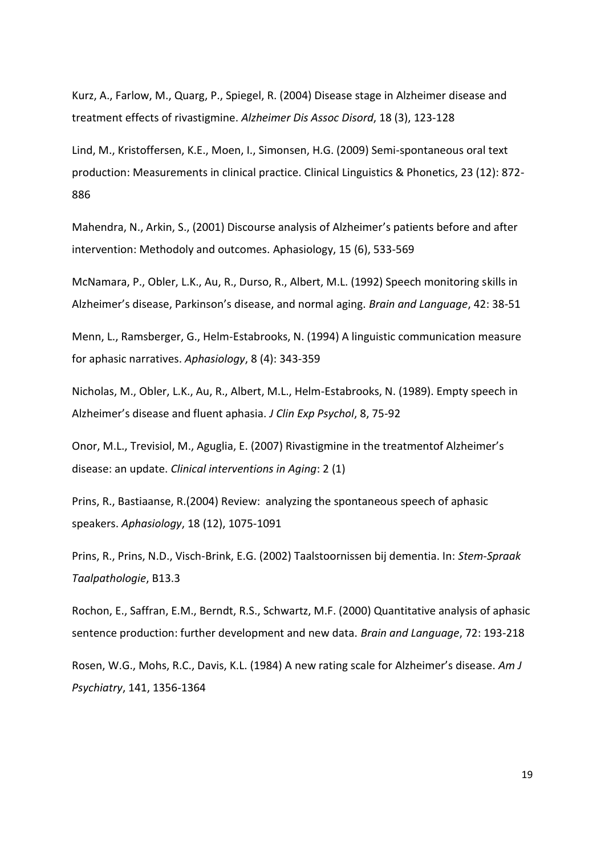Kurz, A., Farlow, M., Quarg, P., Spiegel, R. (2004) Disease stage in Alzheimer disease and treatment effects of rivastigmine. *Alzheimer Dis Assoc Disord*, 18 (3), 123-128

Lind, M., Kristoffersen, K.E., Moen, I., Simonsen, H.G. (2009) Semi-spontaneous oral text production: Measurements in clinical practice. Clinical Linguistics & Phonetics, 23 (12): 872- 886

Mahendra, N., Arkin, S., (2001) Discourse analysis of Alzheimer's patients before and after intervention: Methodoly and outcomes. Aphasiology, 15 (6), 533-569

McNamara, P., Obler, L.K., Au, R., Durso, R., Albert, M.L. (1992) Speech monitoring skills in Alzheimer's disease, Parkinson's disease, and normal aging. *Brain and Language*, 42: 38-51

Menn, L., Ramsberger, G., Helm-Estabrooks, N. (1994) A linguistic communication measure for aphasic narratives. *Aphasiology*, 8 (4): 343-359

Nicholas, M., Obler, L.K., Au, R., Albert, M.L., Helm-Estabrooks, N. (1989). Empty speech in Alzheimer's disease and fluent aphasia. *J Clin Exp Psychol*, 8, 75-92

Onor, M.L., Trevisiol, M., Aguglia, E. (2007) Rivastigmine in the treatmentof Alzheimer's disease: an update. *Clinical interventions in Aging*: 2 (1)

Prins, R., Bastiaanse, R.(2004) Review: analyzing the spontaneous speech of aphasic speakers. *Aphasiology*, 18 (12), 1075-1091

Prins, R., Prins, N.D., Visch-Brink, E.G. (2002) Taalstoornissen bij dementia. In: *Stem-Spraak Taalpathologie*, B13.3

Rochon, E., Saffran, E.M., Berndt, R.S., Schwartz, M.F. (2000) Quantitative analysis of aphasic sentence production: further development and new data. *Brain and Language*, 72: 193-218

Rosen, W.G., Mohs, R.C., Davis, K.L. (1984) A new rating scale for Alzheimer's disease. *Am J Psychiatry*, 141, 1356-1364